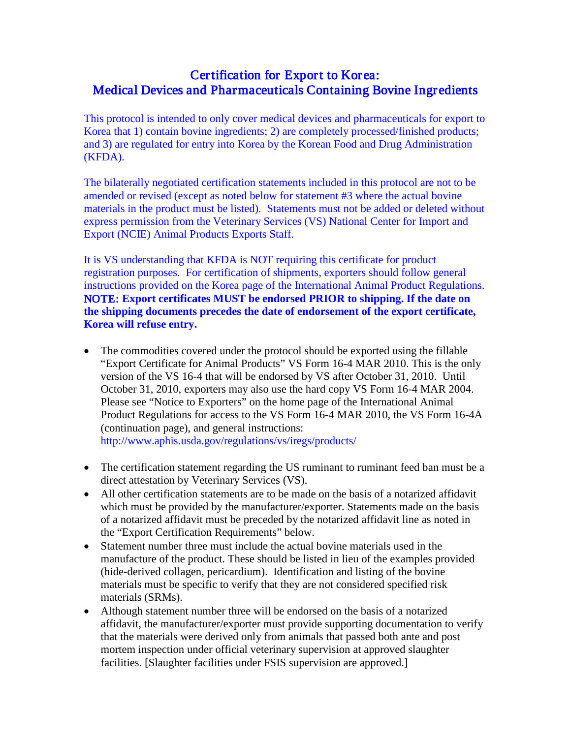## Certification for Export to Korea: Medical Devices and Pharmaceuticals Containing Bovine Ingredients

This protocol is intended to only cover medical devices and pharmaceuticals for export to Korea that 1) contain bovine ingredients; 2) are completely processed/finished products; and 3) are regulated for entry into Korea by the Korean Food and Drug Administration (KFDA).

The bilaterally negotiated certification statements included in this protocol are not to be amended or revised (except as noted below for statement #3 where the actual bovine materials in the product must be listed). Statements must not be added or deleted without express permission from the Veterinary Services (VS) National Center for Import and Export (NCIE) Animal Products Exports Staff.

It is VS understanding that KFDA is NOT requiring this certificate for product registration purposes. For certification of shipments, exporters should follow general instructions provided on the Korea page of the International Animal Product Regulations. NOTE: **Export certificates MUST be endorsed PRIOR to shipping. If the date on the shipping documents precedes the date of endorsement of the export certificate, Korea will refuse entry.** 

• The commodities covered under the protocol should be exported using the fillable "Export Certificate for Animal Products" VS Form 16-4 MAR 2010. This is the only version of the VS 16-4 that will be endorsed by VS after October 31, 2010. Until October 31, 2010, exporters may also use the hard copy VS Form 16-4 MAR 2004. Please see "Notice to Exporters" on the home page of the International Animal Product Regulations for access to the VS Form 16-4 MAR 2010, the VS Form 16-4A (continuation page), and general instructions:

<http://www.aphis.usda.gov/regulations/vs/iregs/products/>

- The certification statement regarding the US ruminant to ruminant feed ban must be a direct attestation by Veterinary Services (VS).
- All other certification statements are to be made on the basis of a notarized affidavit which must be provided by the manufacturer/exporter. Statements made on the basis of a notarized affidavit must be preceded by the notarized affidavit line as noted in the "Export Certification Requirements" below.
- Statement number three must include the actual bovine materials used in the manufacture of the product. These should be listed in lieu of the examples provided (hide-derived collagen, pericardium). Identification and listing of the bovine materials must be specific to verify that they are not considered specified risk materials (SRMs).
- Although statement number three will be endorsed on the basis of a notarized affidavit, the manufacturer/exporter must provide supporting documentation to verify that the materials were derived only from animals that passed both ante and post mortem inspection under official veterinary supervision at approved slaughter facilities. [Slaughter facilities under FSIS supervision are approved.]